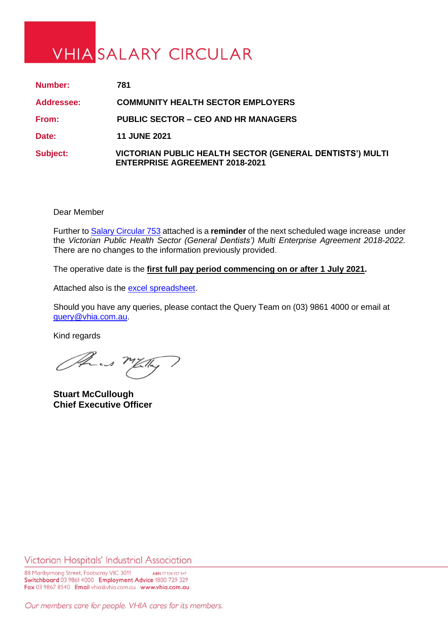## **VHIA SALARY CIRCULAR**

| Number:    | 781                                                                                               |
|------------|---------------------------------------------------------------------------------------------------|
| Addressee: | <b>COMMUNITY HEALTH SECTOR EMPLOYERS</b>                                                          |
| From:      | <b>PUBLIC SECTOR – CEO AND HR MANAGERS</b>                                                        |
| Date:      | <b>11 JUNE 2021</b>                                                                               |
| Subject:   | VICTORIAN PUBLIC HEALTH SECTOR (GENERAL DENTISTS') MULTI<br><b>ENTERPRISE AGREEMENT 2018-2021</b> |

Dear Member

Further t[o Salary Circular 753](https://www.vhia.com.au/wp-content/uploads/Circ-753-1.pdf) attached is a **reminder** of the next scheduled wage increase under the *Victorian Public Health Sector (General Dentists') Multi Enterprise Agreement 2018-2022.* There are no changes to the information previously provided.

The operative date is the **first full pay period commencing on or after 1 July 2021.**

Attached also is the [excel spreadsheet.](https://www.vhia.com.au/wp-content/uploads/SC-781-excel.xls)

Should you have any queries, please contact the Query Team on (03) 9861 4000 or email at [query@vhia.com.au.](mailto:query@vhia.com.au)

Kind regards

Phus my

**Stuart McCullough Chief Executive Officer**

Victorian Hospitals' Industrial Association